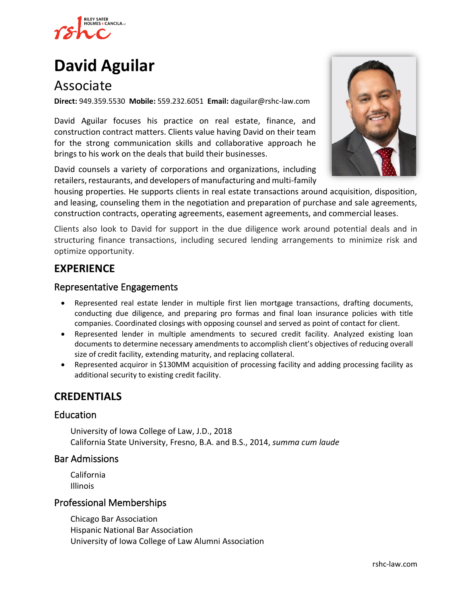

# **[David Aguilar](https://www.rshc-law.com/attorneys/attorney/david-aguilar)**

## Associate

**Direct:** 949.359.5530 **Mobile:** 559.232.6051 **Email:** daguilar@rshc-law.com

David Aguilar focuses his practice on real estate, finance, and construction contract matters. Clients value having David on their team for the strong communication skills and collaborative approach he brings to his work on the deals that build their businesses.

David counsels a variety of corporations and organizations, including retailers, restaurants, and developers of manufacturing and multi-family



housing properties. He supports clients in real estate transactions around acquisition, disposition, and leasing, counseling them in the negotiation and preparation of purchase and sale agreements, construction contracts, operating agreements, easement agreements, and commercial leases.

Clients also look to David for support in the due diligence work around potential deals and in structuring finance transactions, including secured lending arrangements to minimize risk and optimize opportunity.

## **EXPERIENCE**

#### Representative Engagements

- Represented real estate lender in multiple first lien mortgage transactions, drafting documents, conducting due diligence, and preparing pro formas and final loan insurance policies with title companies. Coordinated closings with opposing counsel and served as point of contact for client.
- Represented lender in multiple amendments to secured credit facility. Analyzed existing loan documents to determine necessary amendments to accomplish client's objectives of reducing overall size of credit facility, extending maturity, and replacing collateral.
- Represented acquiror in \$130MM acquisition of processing facility and adding processing facility as additional security to existing credit facility.

## **CREDENTIALS**

#### Education

University of Iowa College of Law, J.D., 2018 California State University, Fresno, B.A. and B.S., 2014, *summa cum laude*

#### Bar Admissions

California Illinois

#### Professional Memberships

Chicago Bar Association Hispanic National Bar Association University of Iowa College of Law Alumni Association